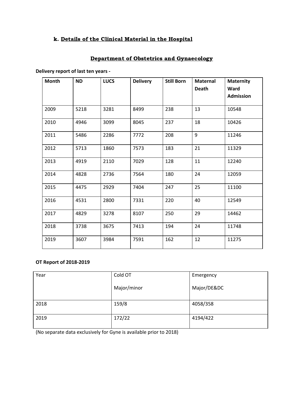# k. Details of the Clinical Material in the Hospital

# Department of Obstetrics and Gynaecology

**Delivery report of last ten years -**

| Month | <b>ND</b> | <b>LUCS</b> | <b>Delivery</b> | <b>Still Born</b> | <b>Maternal</b><br><b>Death</b> | <b>Maternity</b><br>Ward |
|-------|-----------|-------------|-----------------|-------------------|---------------------------------|--------------------------|
|       |           |             |                 |                   |                                 | <b>Admission</b>         |
| 2009  | 5218      | 3281        | 8499            | 238               | 13                              | 10548                    |
| 2010  | 4946      | 3099        | 8045            | 237               | 18                              | 10426                    |
| 2011  | 5486      | 2286        | 7772            | 208               | 9                               | 11246                    |
| 2012  | 5713      | 1860        | 7573            | 183               | 21                              | 11329                    |
| 2013  | 4919      | 2110        | 7029            | 128               | 11                              | 12240                    |
| 2014  | 4828      | 2736        | 7564            | 180               | 24                              | 12059                    |
| 2015  | 4475      | 2929        | 7404            | 247               | 25                              | 11100                    |
| 2016  | 4531      | 2800        | 7331            | 220               | 40                              | 12549                    |
| 2017  | 4829      | 3278        | 8107            | 250               | 29                              | 14462                    |
| 2018  | 3738      | 3675        | 7413            | 194               | 24                              | 11748                    |
| 2019  | 3607      | 3984        | 7591            | 162               | 12                              | 11275                    |

### **OT Report of 2018-2019**

| Year | Cold OT     | Emergency   |
|------|-------------|-------------|
|      | Major/minor | Major/DE&DC |
| 2018 | 159/8       | 4058/358    |
| 2019 | 172/22      | 4194/422    |

(No separate data exclusively for Gyne is available prior to 2018)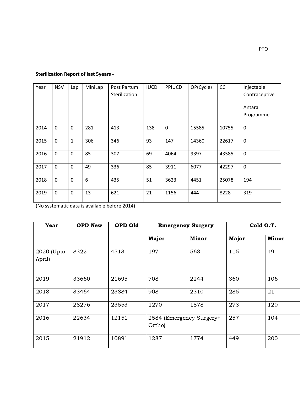## **Sterilization Report of last 5years -**

| Year | <b>NSV</b>   | Lap          | MiniLap | Post Partum<br>Sterilization | <b>IUCD</b> | <b>PPIUCD</b> | OP(Cycle) | CC    | Injectable<br>Contraceptive<br>Antara<br>Programme |
|------|--------------|--------------|---------|------------------------------|-------------|---------------|-----------|-------|----------------------------------------------------|
| 2014 | $\mathbf 0$  | $\mathbf 0$  | 281     | 413                          | 138         | $\mathbf 0$   | 15585     | 10755 | $\mathbf 0$                                        |
| 2015 | $\mathbf 0$  | $\mathbf{1}$ | 306     | 346                          | 93          | 147           | 14360     | 22617 | $\mathbf 0$                                        |
| 2016 | $\mathbf{0}$ | $\Omega$     | 85      | 307                          | 69          | 4064          | 9397      | 43585 | $\mathbf 0$                                        |
| 2017 | $\mathbf 0$  | $\mathbf 0$  | 49      | 336                          | 85          | 3911          | 6077      | 42297 | $\mathbf 0$                                        |
| 2018 | $\mathbf 0$  | $\mathbf 0$  | 6       | 435                          | 51          | 3623          | 4451      | 25078 | 194                                                |
| 2019 | $\mathbf{0}$ | 0            | 13      | 621                          | 21          | 1156          | 444       | 8228  | 319                                                |

(No systematic data is available before 2014)

| <b>Year</b>          | <b>OPD New</b> | OPD Old | <b>Emergency Surgery</b>           |              |       | Cold O.T.    |
|----------------------|----------------|---------|------------------------------------|--------------|-------|--------------|
|                      |                |         | Major                              | <b>Minor</b> | Major | <b>Minor</b> |
| 2020 (Upto<br>April) | 8322           | 4513    | 197                                | 563          | 115   | 49           |
| 2019                 | 33660          | 21695   | 708                                | 2244         | 360   | 106          |
| 2018                 | 33464          | 23884   | 908                                | 2310         | 285   | 21           |
| 2017                 | 28276          | 23553   | 1270                               | 1878         | 273   | 120          |
| 2016                 | 22634          | 12151   | 2584 (Emergency Surgery+<br>Ortho) |              | 257   | 104          |
| 2015                 | 21912          | 10891   | 1287                               | 1774         | 449   | 200          |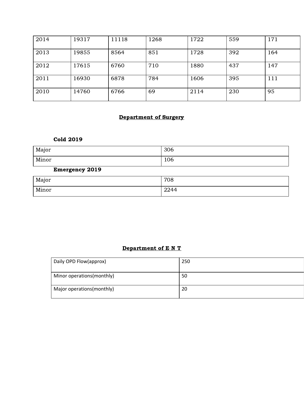| 2014 | 19317 | 11118 | 1268 | 1722 | 559 | 171 |
|------|-------|-------|------|------|-----|-----|
| 2013 | 19855 | 8564  | 851  | 1728 | 392 | 164 |
| 2012 | 17615 | 6760  | 710  | 1880 | 437 | 147 |
| 2011 | 16930 | 6878  | 784  | 1606 | 395 | 111 |
| 2010 | 14760 | 6766  | 69   | 2114 | 230 | 95  |

## Department of Surgery

## Cold 2019

| Major | 306 |
|-------|-----|
| Minor | 106 |

## Emergency 2019

| Major | 708          |
|-------|--------------|
| Minor | 2244<br>4477 |

# Department of E N T

| Daily OPD Flow(approx)     | 250 |
|----------------------------|-----|
| Minor operations (monthly) | 50  |
| Major operations (monthly) | 20  |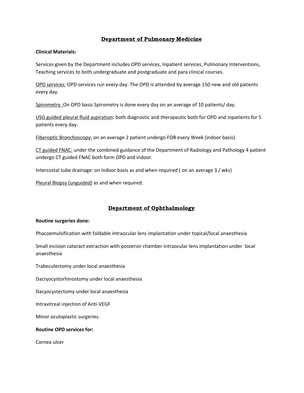### Department of Pulmonary Medicine

#### **Clinical Materials:**

Services given by the Department includes OPD services, Inpatient services, Pulmonary Interventions, Teaching services to both undergraduate and postgraduate and para clinical courses.

OPD services: OPD services run every day. The OPD is attended by average 150 new and old patients every day.

Spirometry :On OPD basis Spirometry is done every day on an average of 10 patients/ day.

USG guided pleural fluid aspiration: both diagnostic and therapeutic both for OPD and inpatients for 5 patients every day.

Fiberoptic Bronchoscopy: on an average 2 patient undergo FOB every Week (indoor basis).

CT guided FNAC: under the combined guidance of the Department of Radiology and Pathology 4 patient undergo CT guided FNAC both form OPD and indoor.

Intercostal tube drainage: on Indoor basis as and when required ( on an average 3 / wks)

Pleural Biopsy (unguided) as and when required.

### Department of Ophthalmology

#### **Routine surgeries done:**

Phacoemulsification with foldable intraocular lens implantation under topical/local anaesthesia

Small incision cataract extraction with posterior chamber intraocular lens implantation under local anaesthesia

Trabeculectomy under local anaesthesia

Dacryocystorhinostomy under local anaesthesia

Dacyocystectomy under local anaesthesia

Intravitreal injection of Anti-VEGF

Minor oculoplastic surgeries.

#### **Routine OPD services for:**

Cornea ulcer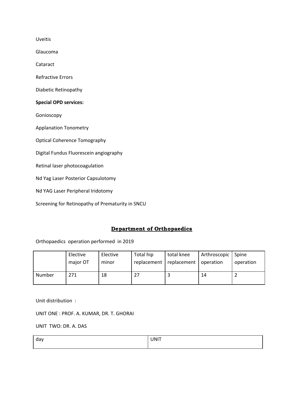Uveitis

Glaucoma

Cataract

Refractive Errors

Diabetic Retinopathy

#### **Special OPD services:**

Gonioscopy

Applanation Tonometry

Optical Coherence Tomography

Digital Fundus Fluorescein angiography

Retinal laser photocoagulation

Nd Yag Laser Posterior Capsulotomy

Nd YAG Laser Peripheral Iridotomy

Screening for Retinopathy of Prematurity in SNCU

### Department of Orthopaedics

Orthopaedics operation performed in 2019

|        | Elective | Elective | Total hip   | total knee  | Arthroscopic | Spine     |
|--------|----------|----------|-------------|-------------|--------------|-----------|
|        | major OT | minor    | replacement | replacement | operation    | operation |
| Number | 271      | 18       |             |             | -14          |           |

Unit distribution :

UNIT ONE : PROF. A. KUMAR, DR. T. GHORAI

UNIT TWO: DR. A. DAS

| dav | UNIT |
|-----|------|
|     |      |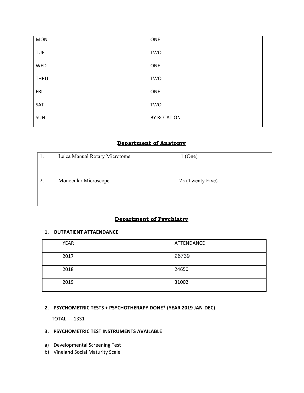| <b>MON</b>  | ONE         |
|-------------|-------------|
| <b>TUE</b>  | <b>TWO</b>  |
| WED         | ONE         |
| <b>THRU</b> | <b>TWO</b>  |
| FRI         | ONE         |
| SAT         | <b>TWO</b>  |
| <b>SUN</b>  | BY ROTATION |

## Department of Anatomy

| . . | Leica Manual Rotary Microtome | $1$ (One)        |
|-----|-------------------------------|------------------|
| ∠.  | Monocular Microscope          | 25 (Twenty Five) |

## Department of Psychiatry

#### **1. OUTPATIENT ATTAENDANCE**

| <b>YEAR</b> | ATTENDANCE |
|-------------|------------|
| 2017        | 26739      |
| 2018        | 24650      |
| 2019        | 31002      |

### **2. PSYCHOMETRIC TESTS + PSYCHOTHERAPY DONE\* (YEAR 2019 JAN-DEC)**

TOTAL --- 1331

## **3. PSYCHOMETRIC TEST INSTRUMENTS AVAILABLE**

- a) Developmental Screening Test
- b) Vineland Social Maturity Scale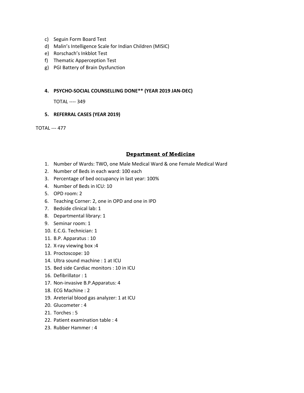- c) Seguin Form Board Test
- d) Malin's Intelligence Scale for Indian Children (MISIC)
- e) Rorschach's Inkblot Test
- f) Thematic Apperception Test
- g) PGI Battery of Brain Dysfunction

#### **4. PSYCHO-SOCIAL COUNSELLING DONE\*\* (YEAR 2019 JAN-DEC)**

TOTAL ---- 349

#### **5. REFERRAL CASES (YEAR 2019)**

TOTAL --- 477

### Department of Medicine

- 1. Number of Wards: TWO, one Male Medical Ward & one Female Medical Ward
- 2. Number of Beds in each ward: 100 each
- 3. Percentage of bed occupancy in last year: 100%
- 4. Number of Beds in ICU: 10
- 5. OPD room: 2
- 6. Teaching Corner: 2, one in OPD and one in IPD
- 7. Bedside clinical lab: 1
- 8. Departmental library: 1
- 9. Seminar room: 1
- 10. E.C.G. Technician: 1
- 11. B.P. Apparatus : 10
- 12. X-ray viewing box :4
- 13. Proctoscope: 10
- 14. Ultra sound machine : 1 at ICU
- 15. Bed side Cardiac monitors : 10 in ICU
- 16. Defibrillator : 1
- 17. Non-invasive B.P.Apparatus: 4
- 18. ECG Machine : 2
- 19. Areterial blood gas analyzer: 1 at ICU
- 20. Glucometer : 4
- 21. Torches : 5
- 22. Patient examination table : 4
- 23. Rubber Hammer : 4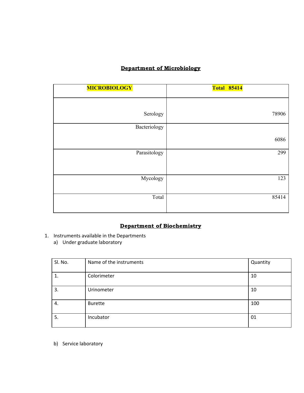# Department of Microbiology

| <b>MICROBIOLOGY</b> | <b>Total 85414</b> |
|---------------------|--------------------|
|                     |                    |
|                     |                    |
| Serology            | 78906              |
| Bacteriology        |                    |
|                     | 6086               |
| Parasitology        | 299                |
| Mycology            | 123                |
| Total               | 85414              |

## Department of Biochemistry

- 1. Instruments available in the Departments
	- a) Under graduate laboratory

| Sl. No. | Name of the instruments | Quantity |
|---------|-------------------------|----------|
| 1.      | Colorimeter             | 10       |
| 3.      | Urinometer              | 10       |
| 4.      | <b>Burette</b>          | 100      |
| 5.      | Incubator               | 01       |

b) Service laboratory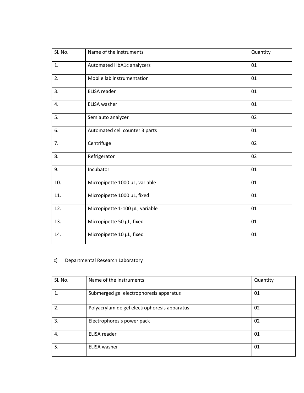| Sl. No. | Name of the instruments         | Quantity |
|---------|---------------------------------|----------|
| 1.      | Automated HbA1c analyzers       | 01       |
| 2.      | Mobile lab instrumentation      | 01       |
| 3.      | ELISA reader                    | 01       |
| 4.      | <b>ELISA</b> washer             | 01       |
| 5.      | Semiauto analyzer               | 02       |
| 6.      | Automated cell counter 3 parts  | 01       |
| 7.      | Centrifuge                      | 02       |
| 8.      | Refrigerator                    | 02       |
| 9.      | Incubator                       | 01       |
| 10.     | Micropipette 1000 µL, variable  | 01       |
| 11.     | Micropipette 1000 µL, fixed     | 01       |
| 12.     | Micropipette 1-100 µL, variable | 01       |
| 13.     | Micropipette 50 µL, fixed       | 01       |
| 14.     | Micropipette 10 µL, fixed       | 01       |

## c) Departmental Research Laboratory

| Sl. No. | Name of the instruments                      | Quantity |
|---------|----------------------------------------------|----------|
|         | Submerged gel electrophoresis apparatus      | 01       |
| 2.      | Polyacrylamide gel electrophoresis apparatus | 02       |
| 3.      | Electrophoresis power pack                   | 02       |
| 4.      | ELISA reader                                 | 01       |
| 5.      | ELISA washer                                 | 01       |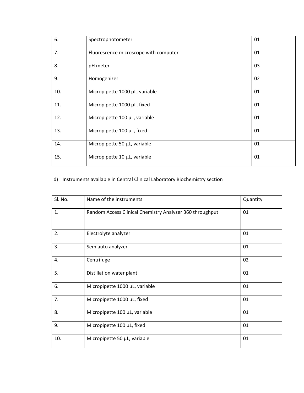| 6.  | Spectrophotometer                     | 01 |
|-----|---------------------------------------|----|
| 7.  | Fluorescence microscope with computer | 01 |
| 8.  | pH meter                              | 03 |
| 9.  | Homogenizer                           | 02 |
| 10. | Micropipette 1000 µL, variable        | 01 |
| 11. | Micropipette 1000 µL, fixed           | 01 |
| 12. | Micropipette 100 µL, variable         | 01 |
| 13. | Micropipette 100 µL, fixed            | 01 |
| 14. | Micropipette 50 µL, variable          | 01 |
| 15. | Micropipette 10 µL, variable          | 01 |

## d) Instruments available in Central Clinical Laboratory Biochemistry section

| Sl. No.          | Name of the instruments                                  | Quantity |
|------------------|----------------------------------------------------------|----------|
| 1.               | Random Access Clinical Chemistry Analyzer 360 throughput | 01       |
| 2.               | Electrolyte analyzer                                     | 01       |
| 3.               | Semiauto analyzer                                        | 01       |
| $\overline{4}$ . | Centrifuge                                               | 02       |
| 5.               | Distillation water plant                                 | 01       |
| 6.               | Micropipette 1000 µL, variable                           | 01       |
| 7.               | Micropipette 1000 µL, fixed                              | 01       |
| 8.               | Micropipette 100 µL, variable                            | 01       |
| 9.               | Micropipette 100 µL, fixed                               | 01       |
| 10.              | Micropipette 50 µL, variable                             | 01       |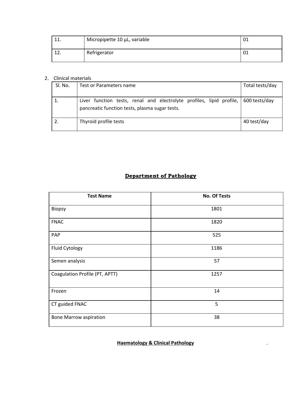|         | Micropipette 10 µL, variable | -01 |
|---------|------------------------------|-----|
| <b></b> | Refrigerator                 | -01 |

### 2. Clinical materials

| Sl. No. | Test or Parameters name                                                                                                              | Total tests/day |
|---------|--------------------------------------------------------------------------------------------------------------------------------------|-----------------|
|         | Liver function tests, renal and electrolyte profiles, lipid profile, 600 tests/day<br>pancreatic function tests, plasma sugar tests. |                 |
|         | Thyroid profile tests                                                                                                                | 40 test/day     |

# Department of Pathology

| <b>Test Name</b>               | <b>No. Of Tests</b> |
|--------------------------------|---------------------|
| Biopsy                         | 1801                |
| <b>FNAC</b>                    | 1820                |
| PAP                            | 525                 |
| Fluid Cytology                 | 1186                |
| Semen analysis                 | 57                  |
| Coagulation Profile (PT, APTT) | 1257                |
| Frozen                         | 14                  |
| CT guided FNAC                 | 5                   |
| <b>Bone Marrow aspiration</b>  | 38                  |

**Haematology & Clinical Pathology** .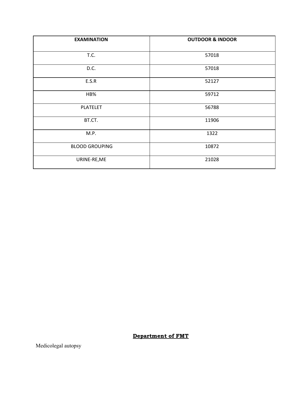| <b>EXAMINATION</b>    | <b>OUTDOOR &amp; INDOOR</b> |
|-----------------------|-----------------------------|
| T.C.                  | 57018                       |
| D.C.                  | 57018                       |
| E.S.R                 | 52127                       |
| HB%                   | 59712                       |
| <b>PLATELET</b>       | 56788                       |
| BT.CT.                | 11906                       |
| M.P.                  | 1322                        |
| <b>BLOOD GROUPING</b> | 10872                       |
| URINE-RE, ME          | 21028                       |

# Department of FMT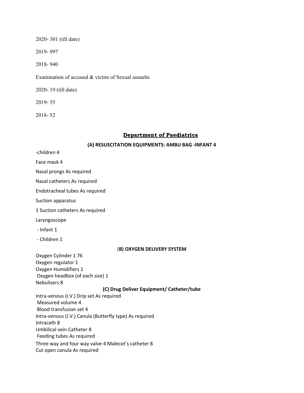2020- 301 (till date)

2019- 997

2018- 940

Examination of accused & victim of Sexual assaults

2020- 19 (till date)

2019- 55

2018- 52

#### Department of Paediatrics

#### **(A) RESUSCITATION EQUIPMENTS: AMBU BAG -INFANT 4**

-children 4 Face mask 4 Nasal prongs As required Nasal catheters As required Endotracheal tubes As required Suction apparatus 1 Suction catheters As required Laryngoscope - Infant 1 - Children 1 (**B) OXYGEN DELIVERY SYSTEM** Oxygen Cylinder 1 76 Oxygen regulator 1 Oxygen Humidifiers 1 Oxygen headbox (of each size) 1 Nebulisers 8 **(C) Drug Deliver Equipment/ Catheter/tube** Intra-venous (I.V.) Drip set As required Measured volume 4 Blood transfusion set 4 Intra-venous (I.V.) Canula (Butterfly type) As required Intracath 8 Umbilical vein Catheter 8 Feeding tubes As required Three way and four way valve 4 Malecot's catheter 8 Cut open canula As required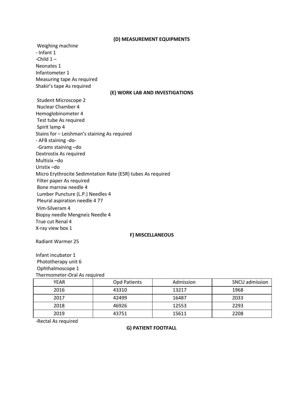#### **(D) MEASUREMENT EQUIPMENTS**

Weighing machine - Infant 1 -Child  $1-$ Neonates 1 Infantometer 1 Measuring tape As required Shakir's tape As required **(E) WORK LAB AND INVESTIGATIONS** Student Microscope 2 Nuclear Chamber 4 Hemoglobinometer 4 Test tube As required Spirit lamp 4 Stains for – Leishman's staining As required - AFB staining -do- -Grams staining –do Dextrostix As required Multisix –do Uristix –do Micro Erythrocite Sedimntation Rate (ESR) tubes As required Filter paper As required Bone marrow needle 4 Lumber Puncture (L.P.) Needles 4 Pleural aspiration needle 4 77 Vim-Silveram 4 Biopsy needle Mengneiz Needle 4 True cut Renal 4 X-ray view box 1 **F) MISCELLANEOUS** Radiant Warmer 25

Infant incubator 1 Phototherapy unit 6 Ophthalmoscope 1 Thermometer-Oral As required

| YEAR | Opd Patients | Admission | <b>SNCU</b> admission |
|------|--------------|-----------|-----------------------|
| 2016 | 43310        | 13217     | 1968                  |
| 2017 | 42499        | 16487     | 2033                  |
| 2018 | 46926        | 12553     | 2293                  |
| 2019 | 43751        | 15611     | 2208                  |

-Rectal As required

#### **G) PATIENT FOOTFALL**